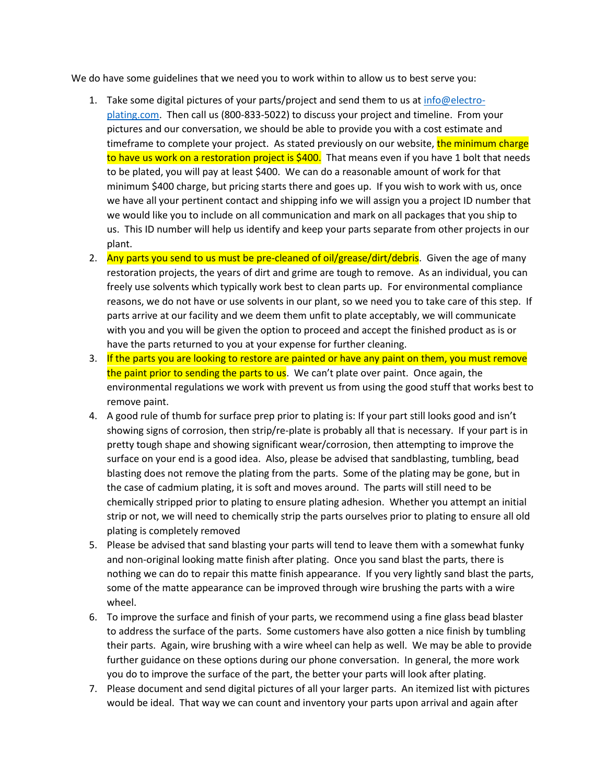We do have some guidelines that we need you to work within to allow us to best serve you:

- 1. Take some digital pictures of your parts/project and send them to us at  $info@electro$ [plating.com.](mailto:info@electro-plating.com) Then call us (800-833-5022) to discuss your project and timeline. From your pictures and our conversation, we should be able to provide you with a cost estimate and timeframe to complete your project. As stated previously on our website, the minimum charge to have us work on a restoration project is \$400. That means even if you have 1 bolt that needs to be plated, you will pay at least \$400. We can do a reasonable amount of work for that minimum \$400 charge, but pricing starts there and goes up. If you wish to work with us, once we have all your pertinent contact and shipping info we will assign you a project ID number that we would like you to include on all communication and mark on all packages that you ship to us. This ID number will help us identify and keep your parts separate from other projects in our plant.
- 2. Any parts you send to us must be pre-cleaned of oil/grease/dirt/debris. Given the age of many restoration projects, the years of dirt and grime are tough to remove. As an individual, you can freely use solvents which typically work best to clean parts up. For environmental compliance reasons, we do not have or use solvents in our plant, so we need you to take care of this step. If parts arrive at our facility and we deem them unfit to plate acceptably, we will communicate with you and you will be given the option to proceed and accept the finished product as is or have the parts returned to you at your expense for further cleaning.
- 3. If the parts you are looking to restore are painted or have any paint on them, you must remove the paint prior to sending the parts to us. We can't plate over paint. Once again, the environmental regulations we work with prevent us from using the good stuff that works best to remove paint.
- 4. A good rule of thumb for surface prep prior to plating is: If your part still looks good and isn't showing signs of corrosion, then strip/re-plate is probably all that is necessary. If your part is in pretty tough shape and showing significant wear/corrosion, then attempting to improve the surface on your end is a good idea. Also, please be advised that sandblasting, tumbling, bead blasting does not remove the plating from the parts. Some of the plating may be gone, but in the case of cadmium plating, it is soft and moves around. The parts will still need to be chemically stripped prior to plating to ensure plating adhesion. Whether you attempt an initial strip or not, we will need to chemically strip the parts ourselves prior to plating to ensure all old plating is completely removed
- 5. Please be advised that sand blasting your parts will tend to leave them with a somewhat funky and non-original looking matte finish after plating. Once you sand blast the parts, there is nothing we can do to repair this matte finish appearance. If you very lightly sand blast the parts, some of the matte appearance can be improved through wire brushing the parts with a wire wheel.
- 6. To improve the surface and finish of your parts, we recommend using a fine glass bead blaster to address the surface of the parts. Some customers have also gotten a nice finish by tumbling their parts. Again, wire brushing with a wire wheel can help as well. We may be able to provide further guidance on these options during our phone conversation. In general, the more work you do to improve the surface of the part, the better your parts will look after plating.
- 7. Please document and send digital pictures of all your larger parts. An itemized list with pictures would be ideal. That way we can count and inventory your parts upon arrival and again after